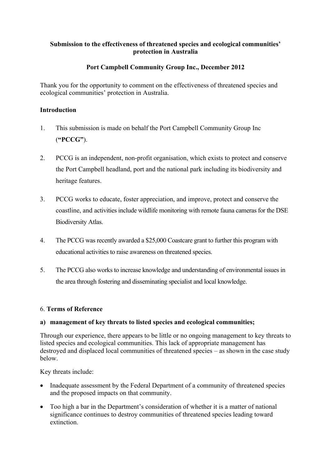## **Submission to the effectiveness of threatened species and ecological communities' protection in Australia**

# **Port Campbell Community Group Inc., December 2012**

Thank you for the opportunity to comment on the effectiveness of threatened species and ecological communities' protection in Australia.

## **Introduction**

- 1. This submission is made on behalf the Port Campbell Community Group Inc (**"PCCG"**).
- 2. PCCG is an independent, non-profit organisation, which exists to protect and conserve the Port Campbell headland, port and the national park including its biodiversity and heritage features.
- 3. PCCG works to educate, foster appreciation, and improve, protect and conserve the coastline, and activities include wildlife monitoring with remote fauna cameras for the DSE Biodiversity Atlas.
- 4. The PCCG was recently awarded a \$25,000 Coastcare grant to further this program with educational activities to raise awareness on threatened species.
- 5. The PCCG also works to increase knowledge and understanding of environmental issues in the area through fostering and disseminating specialist and local knowledge.

## 6. **Terms of Reference**

## **a) management of key threats to listed species and ecological communities;**

Through our experience, there appears to be little or no ongoing management to key threats to listed species and ecological communities. This lack of appropriate management has destroyed and displaced local communities of threatened species – as shown in the case study below.

Key threats include:

- Inadequate assessment by the Federal Department of a community of threatened species and the proposed impacts on that community.
- Too high a bar in the Department's consideration of whether it is a matter of national significance continues to destroy communities of threatened species leading toward extinction.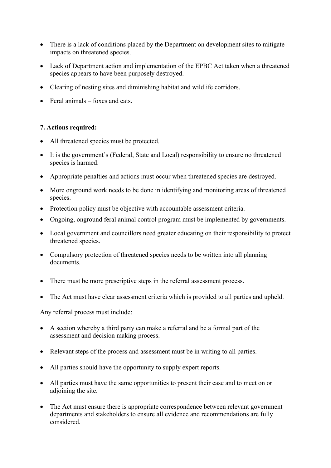- There is a lack of conditions placed by the Department on development sites to mitigate impacts on threatened species.
- Lack of Department action and implementation of the EPBC Act taken when a threatened species appears to have been purposely destroyed.
- Clearing of nesting sites and diminishing habitat and wildlife corridors.
- $\bullet$  Feral animals foxes and cats.

## **7. Actions required:**

- All threatened species must be protected.
- It is the government's (Federal, State and Local) responsibility to ensure no threatened species is harmed.
- Appropriate penalties and actions must occur when threatened species are destroyed.
- More onground work needs to be done in identifying and monitoring areas of threatened species.
- Protection policy must be objective with accountable assessment criteria.
- Ongoing, onground feral animal control program must be implemented by governments.
- Local government and councillors need greater educating on their responsibility to protect threatened species.
- Compulsory protection of threatened species needs to be written into all planning documents.
- There must be more prescriptive steps in the referral assessment process.
- The Act must have clear assessment criteria which is provided to all parties and upheld.

Any referral process must include:

- A section whereby a third party can make a referral and be a formal part of the assessment and decision making process.
- Relevant steps of the process and assessment must be in writing to all parties.
- All parties should have the opportunity to supply expert reports.
- All parties must have the same opportunities to present their case and to meet on or adjoining the site.
- The Act must ensure there is appropriate correspondence between relevant government departments and stakeholders to ensure all evidence and recommendations are fully considered.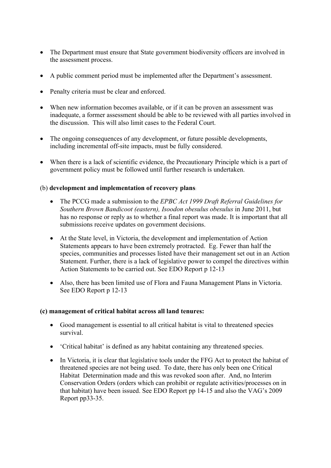- The Department must ensure that State government biodiversity officers are involved in the assessment process.
- A public comment period must be implemented after the Department's assessment.
- Penalty criteria must be clear and enforced.
- When new information becomes available, or if it can be proven an assessment was inadequate, a former assessment should be able to be reviewed with all parties involved in the discussion. This will also limit cases to the Federal Court.
- The ongoing consequences of any development, or future possible developments, including incremental off-site impacts, must be fully considered.
- When there is a lack of scientific evidence, the Precautionary Principle which is a part of government policy must be followed until further research is undertaken.

## (b) **development and implementation of recovery plans**:

- The PCCG made a submission to the *EPBC Act 1999 Draft Referral Guidelines for Southern Brown Bandicoot (eastern), Isoodon obesulus obesulus* in June 2011, but has no response or reply as to whether a final report was made. It is important that all submissions receive updates on government decisions.
- At the State level, in Victoria, the development and implementation of Action Statements appears to have been extremely protracted. Eg. Fewer than half the species, communities and processes listed have their management set out in an Action Statement. Further, there is a lack of legislative power to compel the directives within Action Statements to be carried out. See EDO Report p 12-13
- Also, there has been limited use of Flora and Fauna Management Plans in Victoria. See EDO Report p 12-13

#### **(c) management of critical habitat across all land tenures:**

- Good management is essential to all critical habitat is vital to threatened species survival.
- 'Critical habitat' is defined as any habitat containing any threatened species.
- In Victoria, it is clear that legislative tools under the FFG Act to protect the habitat of threatened species are not being used. To date, there has only been one Critical Habitat Determination made and this was revoked soon after. And, no Interim Conservation Orders (orders which can prohibit or regulate activities/processes on in that habitat) have been issued. See EDO Report pp 14-15 and also the VAG's 2009 Report pp33-35.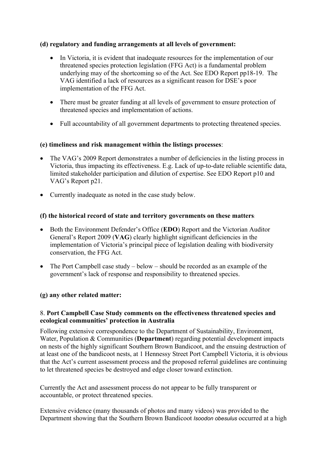# **(d) regulatory and funding arrangements at all levels of government:**

- In Victoria, it is evident that inadequate resources for the implementation of our threatened species protection legislation (FFG Act) is a fundamental problem underlying may of the shortcoming so of the Act. See EDO Report pp18-19. The VAG identified a lack of resources as a significant reason for DSE's poor implementation of the FFG Act.
- There must be greater funding at all levels of government to ensure protection of threatened species and implementation of actions.
- Full accountability of all government departments to protecting threatened species.

# **(e) timeliness and risk management within the listings processes**:

- The VAG's 2009 Report demonstrates a number of deficiencies in the listing process in Victoria, thus impacting its effectiveness. E.g. Lack of up-to-date reliable scientific data, limited stakeholder participation and dilution of expertise. See EDO Report p10 and VAG's Report p21.
- Currently inadequate as noted in the case study below.

# **(f) the historical record of state and territory governments on these matters**:

- Both the Environment Defender's Office (**EDO**) Report and the Victorian Auditor General's Report 2009 (**VAG**) clearly highlight significant deficiencies in the implementation of Victoria's principal piece of legislation dealing with biodiversity conservation, the FFG Act.
- The Port Campbell case study below should be recorded as an example of the government's lack of response and responsibility to threatened species.

## **(g) any other related matter:**

## 8. **Port Campbell Case Study comments on the effectiveness threatened species and ecological communities' protection in Australia**

Following extensive correspondence to the Department of Sustainability, Environment, Water, Population & Communities (**Department**) regarding potential development impacts on nests of the highly significant Southern Brown Bandicoot, and the ensuing destruction of at least one of the bandicoot nests, at 1 Hennessy Street Port Campbell Victoria, it is obvious that the Act's current assessment process and the proposed referral guidelines are continuing to let threatened species be destroyed and edge closer toward extinction.

Currently the Act and assessment process do not appear to be fully transparent or accountable, or protect threatened species.

Extensive evidence (many thousands of photos and many videos) was provided to the Department showing that the Southern Brown Bandicoot *Isoodon obesulus* occurred at a high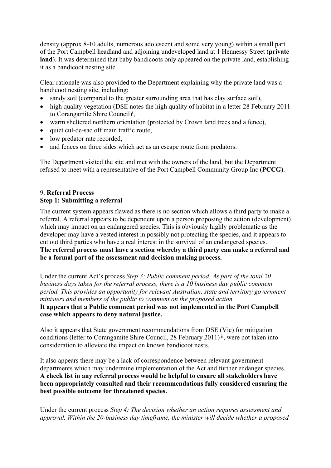density (approx 8-10 adults, numerous adolescent and some very young) within a small part of the Port Campbell headland and adjoining undeveloped land at 1 Hennessy Street (**private** land). It was determined that baby bandicoots only appeared on the private land, establishing it as a bandicoot nesting site.

Clear rationale was also provided to the Department explaining why the private land was a bandicoot nesting site, including:

- sandy soil (compared to the greater surrounding area that has clay surface soil),
- high quality vegetation (DSE notes the high quality of habitat in a letter 28 February 2011 to Corangamite Shire Council)<sup>i</sup>,
- warm sheltered northern orientation (protected by Crown land trees and a fence),
- quiet cul-de-sac off main traffic route,
- low predator rate recorded,
- and fences on three sides which act as an escape route from predators.

The Department visited the site and met with the owners of the land, but the Department refused to meet with a representative of the Port Campbell Community Group Inc (**PCCG**).

#### 9. **Referral Process Step 1: Submitting a referral**

The current system appears flawed as there is no section which allows a third party to make a referral. A referral appears to be dependent upon a person proposing the action (development) which may impact on an endangered species. This is obviously highly problematic as the developer may have a vested interest in possibly not protecting the species, and it appears to cut out third parties who have a real interest in the survival of an endangered species. **The referral process must have a section whereby a third party can make a referral and be a formal part of the assessment and decision making process.**

Under the current Act's process *Step 3: Public comment period. As part of the total 20 business days taken for the referral process, there is a 10 business day public comment period. This provides an opportunity for relevant Australian, state and territory government ministers and members of the public to comment on the proposed action.*

#### **It appears that a Public comment period was not implemented in the Port Campbell case which appears to deny natural justice.**

Also it appears that State government recommendations from DSE (Vic) for mitigation conditions (letter to Corangamite Shire Council, 28 February 2011)<sup>ii</sup>, were not taken into consideration to alleviate the impact on known bandicoot nests.

It also appears there may be a lack of correspondence between relevant government departments which may undermine implementation of the Act and further endanger species. **A check list in any referral process would be helpful to ensure all stakeholders have been appropriately consulted and their recommendations fully considered ensuring the best possible outcome for threatened species.**

Under the current process *Step 4: The decision whether an action requires assessment and approval. Within the 20-business day timeframe, the minister will decide whether a proposed*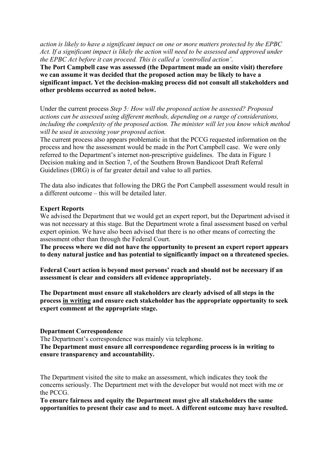*action is likely to have a significant impact on one or more matters protected by the EPBC Act. If a significant impact is likely the action will need to be assessed and approved under the EPBC Act before it can proceed. This is called a 'controlled action'*.

**The Port Campbell case was assessed (the Department made an onsite visit) therefore we can assume it was decided that the proposed action may be likely to have a significant impact. Yet the decision-making process did not consult all stakeholders and other problems occurred as noted below.**

Under the current process *Step 5: How will the proposed action be assessed? Proposed actions can be assessed using different methods, depending on a range of considerations, including the complexity of the proposed action. The minister will let you know which method will be used in assessing your proposed action.*

The current process also appears problematic in that the PCCG requested information on the process and how the assessment would be made in the Port Campbell case. We were only referred to the Department's internet non-prescriptive guidelines. The data in Figure 1 Decision making and in Section 7, of the Southern Brown Bandicoot Draft Referral Guidelines (DRG) is of far greater detail and value to all parties.

The data also indicates that following the DRG the Port Campbell assessment would result in a different outcome – this will be detailed later.

#### **Expert Reports**

We advised the Department that we would get an expert report, but the Department advised it was not necessary at this stage. But the Department wrote a final assessment based on verbal expert opinion. We have also been advised that there is no other means of correcting the assessment other than through the Federal Court.

**The process where we did not have the opportunity to present an expert report appears to deny natural justice and has potential to significantly impact on a threatened species.** 

**Federal Court action is beyond most persons' reach and should not be necessary if an assessment is clear and considers all evidence appropriately.**

**The Department must ensure all stakeholders are clearly advised of all steps in the process in writing and ensure each stakeholder has the appropriate opportunity to seek expert comment at the appropriate stage.**

#### **Department Correspondence**

The Department's correspondence was mainly via telephone. **The Department must ensure all correspondence regarding process is in writing to ensure transparency and accountability.**

The Department visited the site to make an assessment, which indicates they took the concerns seriously. The Department met with the developer but would not meet with me or the PCCG.

**To ensure fairness and equity the Department must give all stakeholders the same opportunities to present their case and to meet. A different outcome may have resulted.**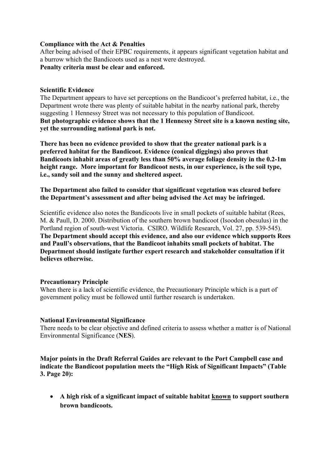#### **Compliance with the Act & Penalties**

After being advised of their EPBC requirements, it appears significant vegetation habitat and a burrow which the Bandicoots used as a nest were destroyed. **Penalty criteria must be clear and enforced.**

#### **Scientific Evidence**

The Department appears to have set perceptions on the Bandicoot's preferred habitat, i.e., the Department wrote there was plenty of suitable habitat in the nearby national park, thereby suggesting 1 Hennessy Street was not necessary to this population of Bandicoot. **But photographic evidence shows that the 1 Hennessy Street site is a known nesting site, yet the surrounding national park is not.** 

**There has been no evidence provided to show that the greater national park is a preferred habitat for the Bandicoot. Evidence (conical diggings) also proves that Bandicoots inhabit areas of greatly less than 50% average foliage density in the 0.2-1m height range. More important for Bandicoot nests, in our experience, is the soil type, i.e., sandy soil and the sunny and sheltered aspect.**

**The Department also failed to consider that significant vegetation was cleared before the Department's assessment and after being advised the Act may be infringed.**

Scientific evidence also notes the Bandicoots live in small pockets of suitable habitat (Rees, M. & Paull, D. 2000. Distribution of the southern brown bandicoot (Isoodon obesulus) in the Portland region of south-west Victoria. CSIRO. Wildlife Research, Vol. 27, pp. 539-545). **The Department should accept this evidence, and also our evidence which supports Rees and Paull's observations, that the Bandicoot inhabits small pockets of habitat. The Department should instigate further expert research and stakeholder consultation if it believes otherwise.**

## **Precautionary Principle**

When there is a lack of scientific evidence, the Precautionary Principle which is a part of government policy must be followed until further research is undertaken.

## **National Environmental Significance**

There needs to be clear objective and defined criteria to assess whether a matter is of National Environmental Significance (**NES**).

**Major points in the Draft Referral Guides are relevant to the Port Campbell case and indicate the Bandicoot population meets the "High Risk of Significant Impacts" (Table 3. Page 20):**

 **A high risk of a significant impact of suitable habitat known to support southern brown bandicoots.**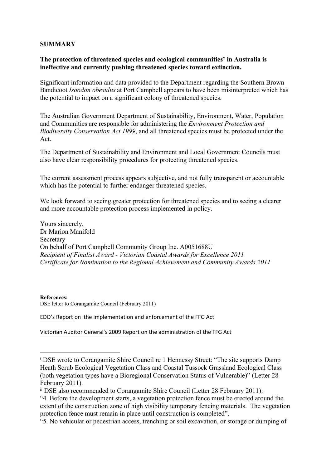#### **SUMMARY**

#### **The protection of threatened species and ecological communities' in Australia is ineffective and currently pushing threatened species toward extinction.**

Significant information and data provided to the Department regarding the Southern Brown Bandicoot *Isoodon obesulus* at Port Campbell appears to have been misinterpreted which has the potential to impact on a significant colony of threatened species.

The Australian Government Department of Sustainability, Environment, Water, Population and Communities are responsible for administering the *Environment Protection and Biodiversity Conservation Act 1999*, and all threatened species must be protected under the Act.

The Department of Sustainability and Environment and Local Government Councils must also have clear responsibility procedures for protecting threatened species.

The current assessment process appears subjective, and not fully transparent or accountable which has the potential to further endanger threatened species.

We look forward to seeing greater protection for threatened species and to seeing a clearer and more accountable protection process implemented in policy.

Yours sincerely, Dr Marion Manifold Secretary On behalf of Port Campbell Community Group Inc. A0051688U *Recipient of Finalist Award - Victorian Coastal Awards for Excellence 2011 Certificate for Nomination to the Regional Achievement and Community Awards 2011*

**References:** DSE letter to Corangamite Council (February 2011)

[EDO's Report](http://www.edovic.org.au/law-reform/major-reports/wheres-the-guarantee) on the implementation and enforcement of the FFG Act

[Victorian Auditor General's 2009 Report](http://www.audit.vic.gov.au/reports_and_publications/reports_by_year/2009/20090401_flora_fauna.aspx) on the administration of the FFG Act

<sup>i</sup> DSE wrote to Corangamite Shire Council re 1 Hennessy Street: "The site supports Damp Heath Scrub Ecological Vegetation Class and Coastal Tussock Grassland Ecological Class (both vegetation types have a Bioregional Conservation Status of Vulnerable)" (Letter 28 February 2011).

ii DSE also recommended to Corangamite Shire Council (Letter 28 February 2011):

<sup>&</sup>quot;4. Before the development starts, a vegetation protection fence must be erected around the extent of the construction zone of high visibility temporary fencing materials. The vegetation protection fence must remain in place until construction is completed".

<sup>&</sup>quot;5. No vehicular or pedestrian access, trenching or soil excavation, or storage or dumping of